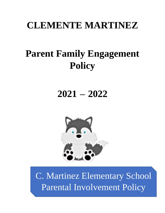# **CLEMENTE MARTINEZ**

# **Parent Family Engagement Policy**

# **2021 – 2022**



C. Martinez Elementary School Parental Involvement Policy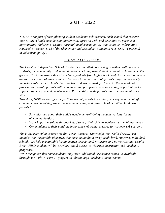### 2021 - 2022

*NOTE: In support of strengthening student academic achievement, each school that receives* Title *I, Part A funds must develop jointly with, agree on with, and distribute to, parents of participating children* a *written parental involvement policy that contains information required* by section *1118 of the Elementary and Secondary Education A ct (ESEA) ( parental in volvement policy).*

#### *STATEMENT OF PURPOSE*

*The Houston Independent School* District *is committed* to *working together with parents, students, the community and* other *stakeholders to improve student academic achievement. The goal of HISD is to ensure that all students graduate from high school ready to succeed in college and/or the career of their choice. The district recognizes that parents play an extremely important role as their child's* first *teacher and are valued partners in the* educational *process. As a result, parents will be included in appropriate decision-making opportunities to support student academic achievement. Partnerships with parents and* the *community* are *vital.*

*Therefore, HISD encourages the participation of parents in regular, two-way, and meaningful communication involving student academic learning and other school activities. HISD wants parents to:*

- ✓ *Stay informed about their child's academic well-being through various forms of communication.*
- ✓ *Work in partnership with school staff to help their* child to *achieve at the highest levels.*
- ✓ *Communicate to their child the importance* of *being* prepared *for college* and a *career.*

*The HISD curriculum is* based on *the Texas* Essential *Knowledge* and *Skills (TEKS)* and *includes non-negotiable objectives that must be taught at every grade level. However, individual schools are held accountable for innovative instructional programs and its instructional results. Every HISD student will be provided equal access* to *rigorous instruction* and *academic programs.*

*HISD recognizes that some students may* need *additional assistance which is available through* the *Title I, Part A* program *to obtain high academic achievement.*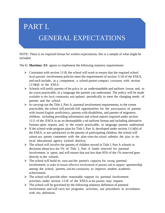## PART I.

### GENERAL EXPECTATIONS

NOTE: There is no required format for written expectations; this is a sample of what might be included.

The **C. Martinez ES** agrees to implement the following statutory requirements:

- $\triangleright$  Consistent with section 1118, the school will work to ensure that the required school level parental involvement policies meet the requirements of section 1118 of the ESEA, and each include, as a component, a school-parent compact consistent with section 1118(d) of the ESEA.
- ➢ Schools will notify parents of the policy in an understandable and uniform format and, to the extent practicable, in a language the parents can understand. The policy will be made available to the local community and updated periodically to meet the changing needs of parents and the school.
- $\triangleright$  In carrying out the Title I, Part A, parental involvement requirements, to the extent practicable, the school will provide full opportunities for the participation of parents with limited English proficiency, parents with disabilities, and parents of migratory children, including providing information and school reports required under section 1111 of the ESEA in an un derstandable a nd uniform format and including alternative formats upon request and, to the extent practicable, in language parents understand.
- ➢ If the school-wide program plan for Title I, Part A, developed under section 1114(b) of the ESEA, is not satisfactory to the parents of participating children, the school will submit any parent comments with the plan when the school submits the plan to the local educational agency (school district).
- $\triangleright$  The school will involve the parents of children served in Title I, Part A schools in decisions about how the 1% of Title I, Part A funds reserved for parental involvement is spent, and will ensure that not less than 95% of the 1% reserved goes directly to the schools.
- ➢ The school will build its own and the parent's capacity for strong parental involvement, in order to ensure effective involvement of parents and to support apartnership among the school, parents, and the community to improve student academic achievement.
- $\triangleright$  The school will provide other reasonable support for parental involvement activities under section 1118 of the ESEA as the parents may request.
- $\triangleright$  The school will be governed by the following statutory definition of parental involvement, and will carry out programs, activities, and procedures in accordance with this definition.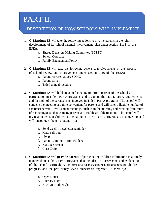## PART II.

### DESCRIPTION OF HOW SCHOOLS WILL IMPLEMENT

- 1. **C. Martinez ES** will take the following actions to involve parents in the joint development of its school parental involvement plan under section 1118 of the ESEA:
	- a. Shared Decision-Making Committee (SDMC)
	- b. School Compact
	- c. Family Engagement Policy
- 2. **C. Martinez ES** will take the following actions to involve parents in the process of school review and improvement under section 1116 of the ESEA:
	- a. Parent representatives SDMC
	- b. Parent survey
	- c. Title I annual meeting
- 3. **C. Martinez ES** will hold an annual meeting to inform parents of the school's participation in Title I, Part A programs, and to explain the Title I, Part A requirements and the right of the parents to be involved in Title I, Part A programs. The school will convene the meeting at a time convenient for parents and will offer a flexible number of additional parental involvement meetings, such as in the morning and evening (minimum of 8 meetings), so that as many parents as possible are able to attend. The school will invite all parents of children participating in Title I, Part A programs to this meeting, and will encourage them to attend, by:
	- a. Send weekly newsletter reminder
	- b. Mass call-outs
	- c. Flyers
	- d. Parent Communication Folders
	- e. Marquee School
	- f. Class Dojo
- 4. **C. Martinez ES will provide parents** of participating children information in a timely manner about Title I, Part A programs that includes To description and explanation of the school's curriculum, the forms of academic assessment used to measure children's progress, and the proficiency levels students are expected To meet by:
	- a. Open House
	- b. Literacy Night
	- c. STAAR Math Night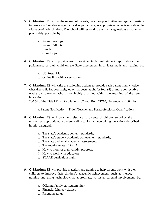- 5. **C. Martinez ES** will at the request of parents, provide opportunities for regular meetings for parents to formulate suggestions and to participate, as appropriate, in decisions about the education of their children. The school will respond to any such suggestions as soon as practicably possible by:
	- a. Parent meetings
	- b. Parent Callouts
	- c. Emails
	- d. Class Dojo
- 6. **C. Martinez ES** will provide each parent an individual student report about the performance of their child on the State assessment in at least math and reading by:
	- a. US Postal Mail
	- b. Online link with access codes
- 7. **C. Martinez ES will take** the following actions to provide each parent timely notice when their child has been assigned or has been taught for four (4) or more consecutive weeks by a teacher who is not highly qualified within the meaning of the term in section

200.56 of the Title I Final Regulations (67 Fed. Reg. 71710, December 2, 2002) by:

a. Parent Notification – Title I Teacher and Paraprofessional Qualifications

- 8. **C. Martinez ES** will provide assistance to parents of children served by the school, as appropriate, in understanding topics by undertaking the actions described in this paragraph:
	- a. The state's academic content standards,
	- b. The state's student academic achievement standards,
	- c. The state and local academic assessments
	- d. The requirements of Part A,
	- e. How to monitor their child's progress,
	- f. How to work with educators
	- g. STAAR curriculum night
- 9. **C. Martinez ES** will provide materials and training to help parents work with their children to improve their children's academic achievement, such as literacy training and using technology, as appropriate, to foster parental involvement, by:
	- a. Offering family curriculum night
	- b. Financial Literacy classes
	- c. Parent meetings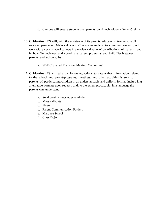- d. Campus will ensure students and parents build technology (literacy) skills.
- 10. **C. Martinez EN** will, with the assistance of its parents, educate its teachers, pupil services personnel, Main and other staff in how to reach out to, communicate with, and work with parents as equal partners in the value and utility of contributions of parents, and in how To implement and coordinate parent programs and build Ties b etween parents and schools, by:
	- a. SDMC(Shared Decision Making Committee)
- 11. **C. Martinez ES** will take the following actions to ensure that information related to the school and parent-programs, meetings, and other activities is sent to parents of participating children in an understandable and uniform format, inclu d in g alternative formats upon request, and, to the extent practicable, in a language the parents can understand:
	- a. Send weekly newsletter reminder
	- b. Mass call-outs
	- c. Flyers
	- d. Parent Communication Folders
	- e. Marquee School
	- f. Class Dojo